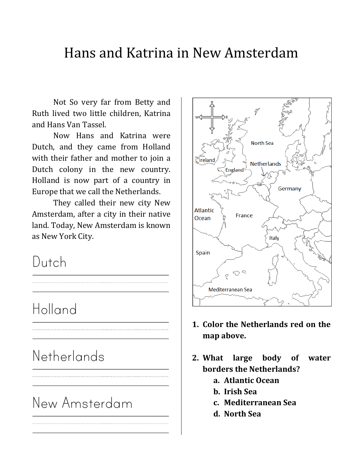#### Hans and Katrina in New Amsterdam

Not So very far from Betty and Ruth lived two little children, Katrina and Hans Van Tassel.

Now Hans and Katrina were Dutch, and they came from Holland with their father and mother to join a  $\|\cdot\|_{\text{Sfreland}}$ Dutch colony in the new country. Holland is now part of a country in Europe that we call the Netherlands.

They called their new city New Amsterdam, after a city in their native land. Today, New Amsterdam is known as New York City.

## Dutch

### Holland

## **Netherlands**

# New Amsterdam



- **1. Color the Netherlands red on the map above.**
- **2. What large body of water borders the Netherlands?**
	- **a. Atlantic Ocean**
	- **b. Irish Sea**
	- **c. Mediterranean Sea**
	- **d. North Sea**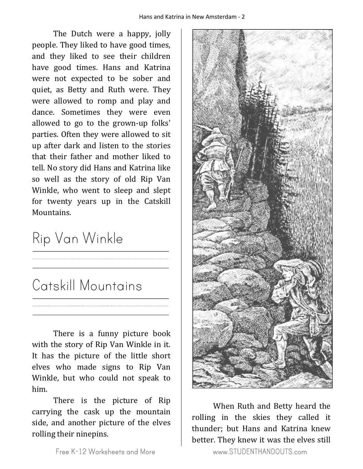The Dutch were a happy, jolly people. They liked to have good times, and they liked to see their children have good times. Hans and Katrina were not expected to be sober and quiet, as Betty and Ruth were. They were allowed to romp and play and dance. Sometimes they were even allowed to go to the grown-up folks' parties. Often they were allowed to sit up after dark and listen to the stories that their father and mother liked to tell. No story did Hans and Katrina like so well as the story of old Rip Van Winkle, who went to sleep and slept for twenty years up in the Catskill Mountains.

# Rip Van Winkle

# Catskill Mountains

There is a funny picture book with the story of Rip Van Winkle in it. It has the picture of the little short elves who made signs to Rip Van Winkle, but who could not speak to him.

There is the picture of Rip carrying the cask up the mountain side, and another picture of the elves rolling their ninepins.



rolling in the skies they called it thunder; but Hans and Katrina knew better. They knew it was the elves still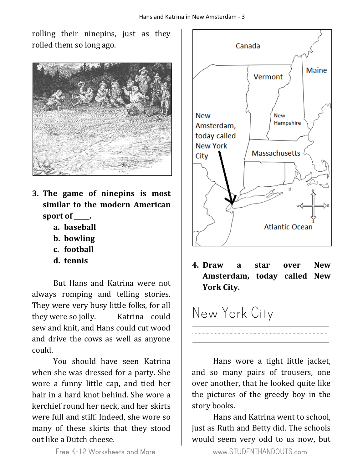rolling their ninepins, just as they rolled them so long ago.



- **3. The game of ninepins is most similar to the modern American sport of \_\_\_\_\_.**
	- **a. baseball**
	- **b. bowling**
	- **c. football**
	- **d. tennis**

But Hans and Katrina were not always romping and telling stories. They were very busy little folks, for all they were so jolly. Katrina could sew and knit, and Hans could cut wood and drive the cows as well as anyone could.

You should have seen Katrina when she was dressed for a party. She wore a funny little cap, and tied her hair in a hard knot behind. She wore a kerchief round her neck, and her skirts were full and stiff. Indeed, she wore so many of these skirts that they stood out like a Dutch cheese.



**4. Draw a star over New Amsterdam, today called New York City.**

## New York City

Hans wore a tight little jacket, and so many pairs of trousers, one over another, that he looked quite like the pictures of the greedy boy in the story books.

Hans and Katrina went to school, just as Ruth and Betty did. The schools would seem very odd to us now, but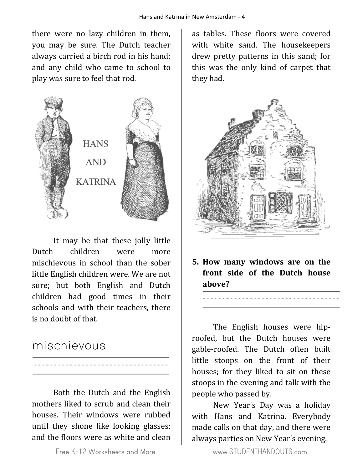there were no lazy children in them, you may be sure. The Dutch teacher always carried a birch rod in his hand; and any child who came to school to play was sure to feel that rod.



It may be that these jolly little Dutch children were more mischievous in school than the sober little English children were. We are not sure; but both English and Dutch children had good times in their schools and with their teachers, there is no doubt of that.

#### mischievous

Both the Dutch and the English mothers liked to scrub and clean their houses. Their windows were rubbed until they shone like looking glasses; and the floors were as white and clean

as tables. These floors were covered with white sand. The housekeepers drew pretty patterns in this sand; for this was the only kind of carpet that they had.



**5. How many windows are on the front side of the Dutch house above?**

The English houses were hiproofed, but the Dutch houses were gable-roofed. The Dutch often built little stoops on the front of their houses; for they liked to sit on these stoops in the evening and talk with the people who passed by.

New Year's Day was a holiday with Hans and Katrina. Everybody made calls on that day, and there were always parties on New Year's evening.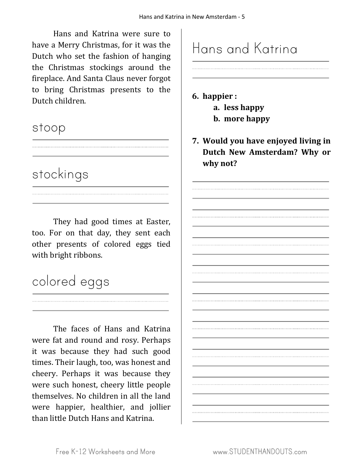Hans and Katrina were sure to have a Merry Christmas, for it was the Dutch who set the fashion of hanging the Christmas stockings around the fireplace. And Santa Claus never forgot to bring Christmas presents to the Dutch children.

#### stoop

#### stockings

They had good times at Easter, too. For on that day, they sent each other presents of colored eggs tied with bright ribbons.

# colored eggs

The faces of Hans and Katrina were fat and round and rosy. Perhaps it was because they had such good times. Their laugh, too, was honest and cheery. Perhaps it was because they were such honest, cheery little people themselves. No children in all the land were happier, healthier, and jollier than little Dutch Hans and Katrina.

# Hans and Katrina

**6. happier : a. less happy**

- **b. more happy**
- **7. Would you have enjoyed living in Dutch New Amsterdam? Why or why not?**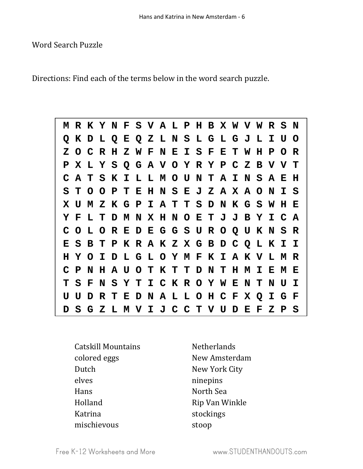#### Word Search Puzzle

Directions: Find each of the terms below in the word search puzzle.

|  |  |  |  | M R K Y N F S V A L P H B X W V W R S N |  |  |  |  |  |  |
|--|--|--|--|-----------------------------------------|--|--|--|--|--|--|
|  |  |  |  | Q K D L Q E Q Z L N S L G L G J L I U O |  |  |  |  |  |  |
|  |  |  |  | Z O C R H Z W F N E I S F E T W H P O R |  |  |  |  |  |  |
|  |  |  |  | P X L Y S Q G A V O Y R Y P C Z B V V T |  |  |  |  |  |  |
|  |  |  |  | C A T S K I L L M O U N T A I N S A E H |  |  |  |  |  |  |
|  |  |  |  | S T O O P T E H N S E J Z A X A O N I S |  |  |  |  |  |  |
|  |  |  |  | X U M Z K G P I A T T S D N K G S W H E |  |  |  |  |  |  |
|  |  |  |  | Y F L T D M N X H N O E T J J B Y I C A |  |  |  |  |  |  |
|  |  |  |  | COLOREDEGGSUROQUKNSR                    |  |  |  |  |  |  |
|  |  |  |  | E S B T P K R A K Z X G B D C Q L K I I |  |  |  |  |  |  |
|  |  |  |  | H Y O I D L G L O Y M F K I A K V L M R |  |  |  |  |  |  |
|  |  |  |  | C P N H A U O T K T T D N T H M I E M E |  |  |  |  |  |  |
|  |  |  |  | T S F N S Y T I C K R O Y W E N T N U I |  |  |  |  |  |  |
|  |  |  |  | U U D R T E D N A L L O H C F X Q I G F |  |  |  |  |  |  |
|  |  |  |  | D S G Z L M V I J C C T V U D E F Z P S |  |  |  |  |  |  |

| <b>Catskill Mountains</b> |
|---------------------------|
| colored eggs              |
| Dutch                     |
| elves                     |
| Hans                      |
| Holland                   |
| Katrina                   |
| mischievous               |

Netherlands New Amsterdam New York City ninepins North Sea Rip Van Winkle stockings stoop